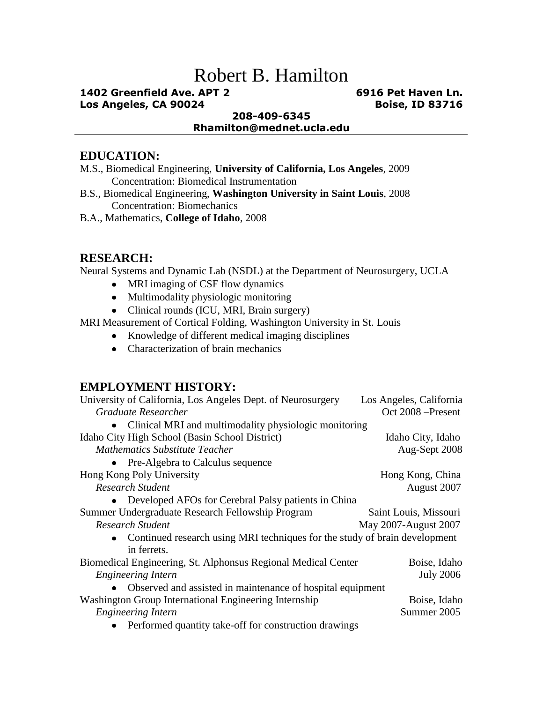# Robert B. Hamilton

#### **1402 Greenfield Ave. APT 2 6916 Pet Haven Ln. Los Angeles, CA 90024 Boise, ID 83716**

#### **208-409-6345 Rhamilton@mednet.ucla.edu**

#### **EDUCATION:**

- M.S., Biomedical Engineering, **University of California, Los Angeles**, 2009 Concentration: Biomedical Instrumentation
- B.S., Biomedical Engineering, **Washington University in Saint Louis**, 2008 Concentration: Biomechanics
- B.A., Mathematics, **College of Idaho**, 2008

#### **RESEARCH:**

Neural Systems and Dynamic Lab (NSDL) at the Department of Neurosurgery, UCLA

- MRI imaging of CSF flow dynamics
- Multimodality physiologic monitoring
- Clinical rounds (ICU, MRI, Brain surgery)

MRI Measurement of Cortical Folding, Washington University in St. Louis

- Knowledge of different medical imaging disciplines
- Characterization of brain mechanics

### **EMPLOYMENT HISTORY:**

| University of California, Los Angeles Dept. of Neurosurgery                  | Los Angeles, California |
|------------------------------------------------------------------------------|-------------------------|
| Graduate Researcher                                                          | Oct 2008 – Present      |
| Clinical MRI and multimodality physiologic monitoring                        |                         |
| Idaho City High School (Basin School District)                               | Idaho City, Idaho       |
| <b>Mathematics Substitute Teacher</b>                                        | Aug-Sept 2008           |
| • Pre-Algebra to Calculus sequence                                           |                         |
| Hong Kong Poly University                                                    | Hong Kong, China        |
| Research Student                                                             | August 2007             |
| Developed AFOs for Cerebral Palsy patients in China                          |                         |
| Summer Undergraduate Research Fellowship Program                             | Saint Louis, Missouri   |
| <b>Research Student</b>                                                      | May 2007-August 2007    |
| • Continued research using MRI techniques for the study of brain development |                         |
| in ferrets.                                                                  |                         |
| Biomedical Engineering, St. Alphonsus Regional Medical Center                | Boise, Idaho            |
| <b>Engineering Intern</b>                                                    | <b>July 2006</b>        |
| Observed and assisted in maintenance of hospital equipment                   |                         |
| Washington Group International Engineering Internship                        | Boise, Idaho            |
| <b>Engineering Intern</b>                                                    | Summer 2005             |
| Performed quantity take-off for construction drawings                        |                         |